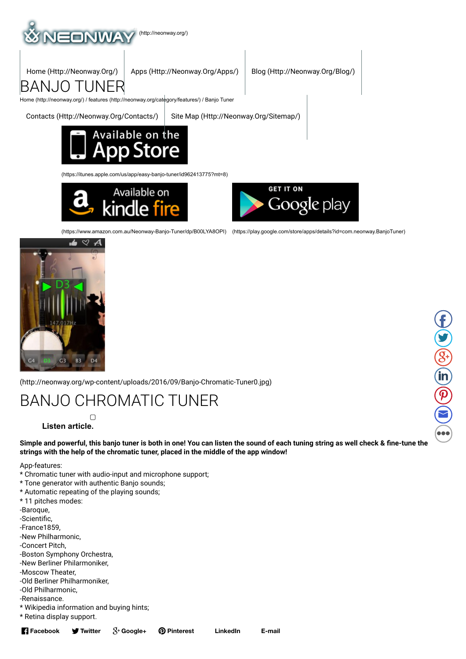

Home (Http://Neonway.Org/) Apps (Http://Neonway.Org/Apps/) Blog (Http://Neonway.Org/Blog/)

Home (http://neonway.org/) / features (http://neonway.org/category/features/) / Banjo Tuner

BANJO TUNER

Contacts (Http://Neonway.Org/Contacts/) Site Map (Http://Neonway.Org/Sitemap/)



(https://itunes.apple.com/us/app/easy-banjo-tuner/id962413775?mt=8)





 $\mathbf{f}$ 

 $\bullet$ 

 $\mathcal{S}$ 

(in)

 $\boldsymbol{\widehat{\mathcal{P}}}$ 

 $\bigcirc$ 

 $\bullet$ 

(https://www.amazon.com.au/NeonwayBanjoTuner/dp/B00LYA8OPI) (https://play.google.com/store/apps/details?id=com.neonway.BanjoTuner)



(http://neonway.org/wp-content/uploads/2016/09/Banjo-Chromatic-Tuner0.jpg)

# BANJO CHROMATIC TUNER

**Listen article.**

Simple and powerful, this banjo tuner is both in one! You can listen the sound of each tuning string as well check & fine-tune the **strings with the help of the chromatic tuner, placed in the middle of the app window!**

App-features:

- \* Chromatic tuner with audio-input and microphone support;
- \* Tone generator with authentic Banjo sounds;
- \* Automatic repeating of the playing sounds;
- \* 11 pitches modes:
- -Baroque,
- -Scientific.
- -France1859,
- -New Philharmonic,
- -Concert Pitch,
- -Boston Symphony Orchestra, -New Berliner Philarmoniker,
- -Moscow Theater,
- -Old Berliner Philharmoniker,
- -Old Philharmonic,
- -Renaissance.
- \* Wikipedia information and buying hints;
- \* Retina display support.

**Facebook V** Twitter

**Twitter Google+ Pinterest LinkedIn E-mail**